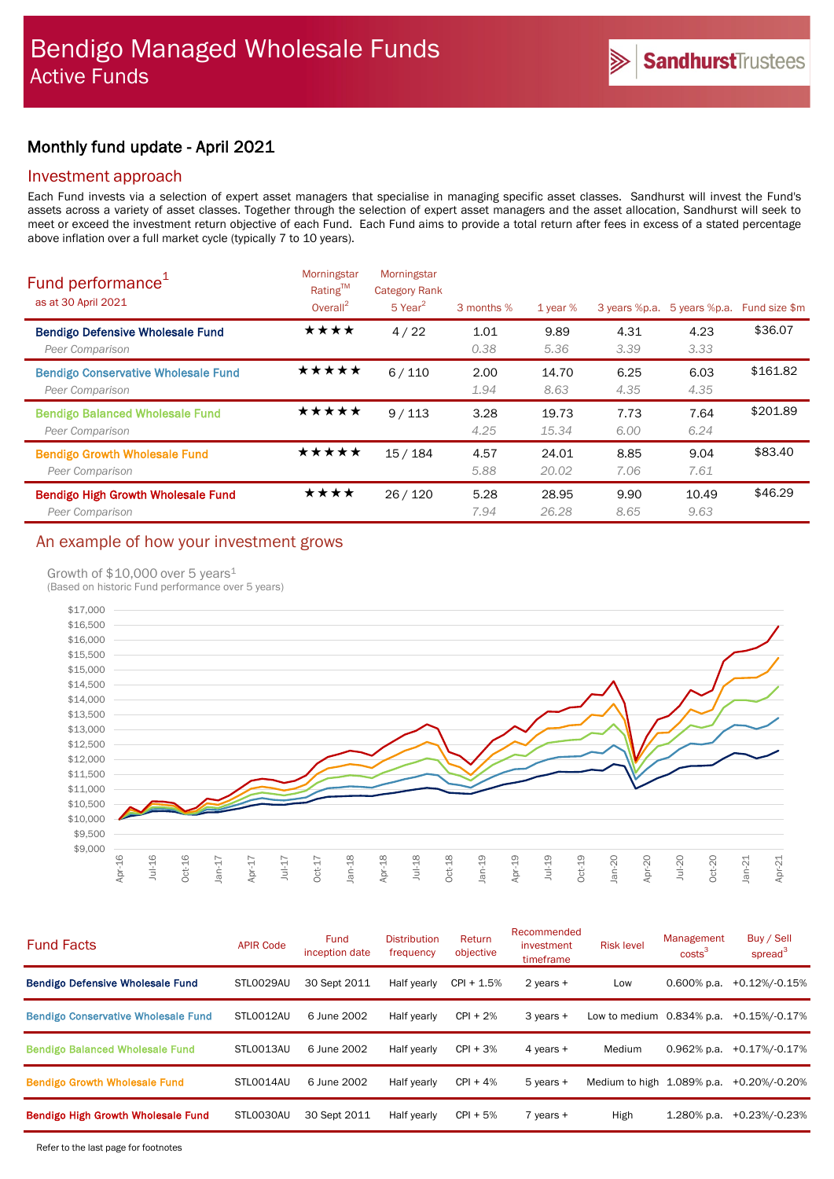# Monthly fund update - April 2021

## Investment approach

Each Fund invests via a selection of expert asset managers that specialise in managing specific asset classes. Sandhurst will invest the Fund's assets across a variety of asset classes. Together through the selection of expert asset managers and the asset allocation, Sandhurst will seek to meet or exceed the investment return objective of each Fund. Each Fund aims to provide a total return after fees in excess of a stated percentage above inflation over a full market cycle (typically 7 to 10 years).

| Fund performance <sup>1</sup><br>as at 30 April 2021          | Morningstar<br>Rating™<br>Overall $^2$ | Morningstar<br><b>Category Rank</b><br>$5$ Year <sup>2</sup> | 3 months %   | 1 year $%$     | 3 years %p.a. | 5 years %p.a. | Fund size \$m |
|---------------------------------------------------------------|----------------------------------------|--------------------------------------------------------------|--------------|----------------|---------------|---------------|---------------|
| <b>Bendigo Defensive Wholesale Fund</b><br>Peer Comparison    | ★★★★                                   | 4/22                                                         | 1.01<br>0.38 | 9.89<br>5.36   | 4.31<br>3.39  | 4.23<br>3.33  | \$36.07       |
| <b>Bendigo Conservative Wholesale Fund</b><br>Peer Comparison | ★★★★★                                  | 6/110                                                        | 2.00<br>1.94 | 14.70<br>8.63  | 6.25<br>4.35  | 6.03<br>4.35  | \$161.82      |
| <b>Bendigo Balanced Wholesale Fund</b><br>Peer Comparison     | ★★★★★                                  | 9/113                                                        | 3.28<br>4.25 | 19.73<br>15.34 | 7.73<br>6.00  | 7.64<br>6.24  | \$201.89      |
| <b>Bendigo Growth Wholesale Fund</b><br>Peer Comparison       | ★★★★★                                  | 15/184                                                       | 4.57<br>5.88 | 24.01<br>20.02 | 8.85<br>7.06  | 9.04<br>7.61  | \$83.40       |
| Bendigo High Growth Wholesale Fund<br>Peer Comparison         | ★★★★                                   | 26/120                                                       | 5.28<br>7.94 | 28.95<br>26.28 | 9.90<br>8.65  | 10.49<br>9.63 | \$46.29       |

# An example of how your investment grows

### Growth of  $$10,000$  over 5 years<sup>1</sup>

(Based on historic Fund performance over 5 years)



| <b>Fund Facts</b>                          | <b>APIR Code</b> | <b>Fund</b><br>inception date | <b>Distribution</b><br>frequency | Return<br>objective | Recommended<br>investment<br>timeframe | <b>Risk level</b>            | Management<br>costs <sup>3</sup> | Buy / Sell<br>spread <sup>3</sup> |
|--------------------------------------------|------------------|-------------------------------|----------------------------------|---------------------|----------------------------------------|------------------------------|----------------------------------|-----------------------------------|
| <b>Bendigo Defensive Wholesale Fund</b>    | STL0029AU        | 30 Sept 2011                  | Half yearly                      | $CPI + 1.5%$        | 2 years $+$                            | Low                          | $0.600\%$ p.a.                   | +0.12%/-0.15%                     |
| <b>Bendigo Conservative Wholesale Fund</b> | STLO012AU        | 6 June 2002                   | Half yearly                      | $CPI + 2%$          | $3$ years $+$                          | Low to medium $0.834\%$ p.a. |                                  | $+0.15\%$ /-0.17%                 |
| <b>Bendigo Balanced Wholesale Fund</b>     | STLO013AU        | 6 June 2002                   | Half yearly                      | $CPI + 3%$          | 4 years +                              | Medium                       | $0.962%$ p.a.                    | +0.17%/-0.17%                     |
| <b>Bendigo Growth Wholesale Fund</b>       | STLO014AU        | 6 June 2002                   | Half yearly                      | $CPI + 4%$          | $5$ years $+$                          | Medium to high 1.089% p.a.   |                                  | +0.20%/-0.20%                     |
| <b>Bendigo High Growth Wholesale Fund</b>  | STL0030AU        | 30 Sept 2011                  | Half yearly                      | $CPI + 5%$          | $7$ years $+$                          | High                         | $1.280\%$ p.a.                   | +0.23%/-0.23%                     |
|                                            |                  |                               |                                  |                     |                                        |                              |                                  |                                   |

Refer to the last page for footnotes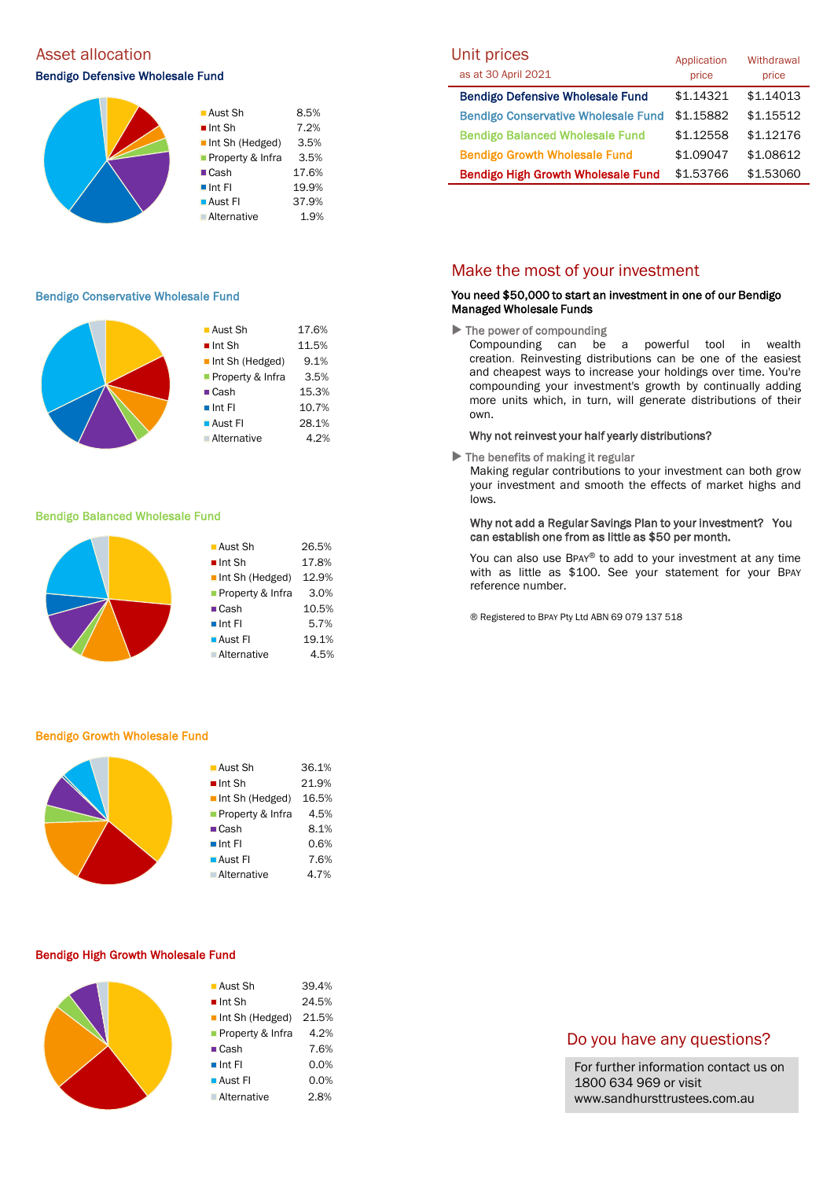## Asset allocation and the Unit prices of the Unit prices

## Bendigo Defensive Wholesale Fund as at 30 April 2021



#### Bendigo Conservative Wholesale Fund

|  | $\blacksquare$ Aust Sh         | 17.6% |
|--|--------------------------------|-------|
|  |                                |       |
|  | $\blacksquare$ Int Sh          | 11.5% |
|  | $\blacksquare$ Int Sh (Hedged) | 9.1%  |
|  | Property & Infra               | 3.5%  |
|  | $\blacksquare$ Cash            | 15.3% |
|  | $\blacksquare$ Int Fl          | 10.7% |
|  | ■ Aust Fl                      | 28.1% |
|  | <b>Alternative</b>             | 4.2%  |
|  |                                |       |

#### Bendigo Balanced Wholesale Fund



#### Bendigo Growth Wholesale Fund

| ■ Aust Sh                      | 36.1% |
|--------------------------------|-------|
| $\blacksquare$ Int Sh          | 21.9% |
| $\blacksquare$ Int Sh (Hedged) | 16.5% |
| Property & Infra               | 4.5%  |
| $\blacksquare$ Cash            | 8.1%  |
| $\blacksquare$ Int Fl          | 0.6%  |
| $\blacksquare$ Aust FI         | 7.6%  |
| <b>Alternative</b>             | 4.7%  |
|                                |       |

#### Bendigo High Growth Wholesale Fund

| ■ Aust Sh             | 39.4% |
|-----------------------|-------|
| $\blacksquare$ Int Sh | 24.5% |
| Int Sh (Hedged)       | 21.5% |
| Property & Infra      | 4.2%  |
| $\blacksquare$ Cash   | 7.6%  |
| $\blacksquare$ Int FI | 0.0%  |
| ■ Aust Fl             | 0.0%  |
| <b>Alternative</b>    | 2.8%  |

#### Bendigo Defensive Wholesale Fund \$1.14321 \$1.14013 Bendigo Conservative Wholesale Fund \$1.15882 \$1.15512 Bendigo Balanced Wholesale Fund \$1.12558 \$1.12176 Bendigo Growth Wholesale Fund  $$1.09047$  \$1.08612 Bendigo High Growth Wholesale Fund \$1.53766 \$1.53060 Application price **Withdrawal** price

## Make the most of your investment

#### You need \$50,000 to start an investment in one of our Bendigo Managed Wholesale Funds

 $\blacktriangleright$  The power of compounding

Compounding can be a powerful tool in wealth creation. Reinvesting distributions can be one of the easiest and cheapest ways to increase your holdings over time. You're compounding your investment's growth by continually adding more units which, in turn, will generate distributions of their own.

### Why not reinvest your half yearly distributions?

 $\blacktriangleright$  The benefits of making it regular

Making regular contributions to your investment can both grow your investment and smooth the effects of market highs and lows.

### Why not add a Regular Savings Plan to your investment? You can establish one from as little as \$50 per month.

You can also use BPAY® to add to your investment at any time with as little as \$100. See your statement for your BPAY reference number.

® Registered to BPAY Pty Ltd ABN 69 079 137 518

# Do you have any questions?

For further information contact us on 1800 634 969 or visit www.sandhursttrustees.com.au